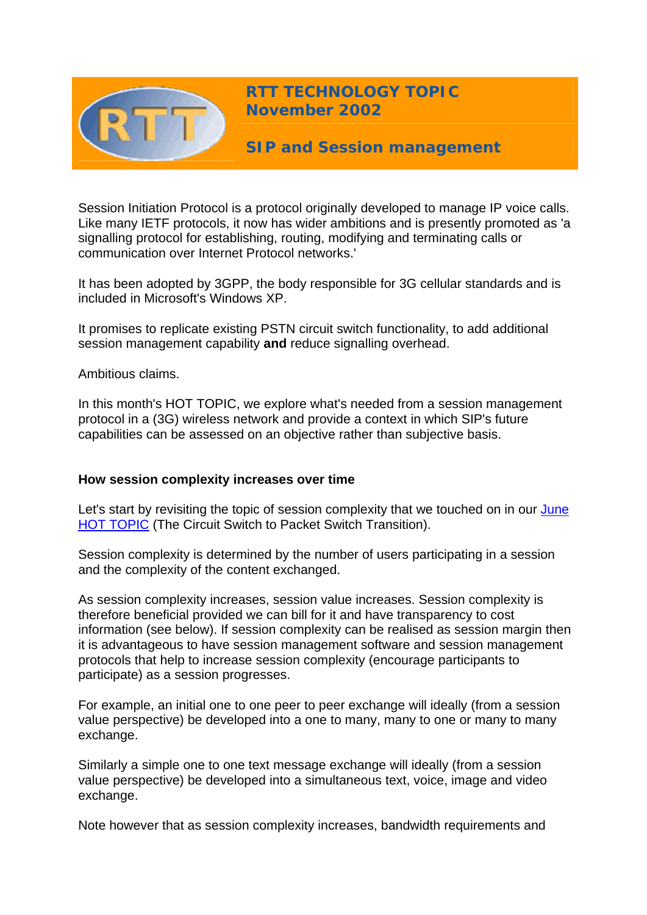

**RTT TECHNOLOGY TOPIC November 2002**

**SIP and Session management** 

Session Initiation Protocol is a protocol originally developed to manage IP voice calls. Like many IETF protocols, it now has wider ambitions and is presently promoted as 'a signalling protocol for establishing, routing, modifying and terminating calls or communication over Internet Protocol networks.'

It has been adopted by 3GPP, the body responsible for 3G cellular standards and is included in Microsoft's Windows XP.

It promises to replicate existing PSTN circuit switch functionality, to add additional session management capability **and** reduce signalling overhead.

Ambitious claims.

In this month's HOT TOPIC, we explore what's needed from a session management protocol in a (3G) wireless network and provide a context in which SIP's future capabilities can be assessed on an objective rather than subjective basis.

## **How session complexity increases over time**

Let's start by revisiting the topic of session complexity that we touched on in our June [HOT TOPIC](http://www.rttonline.com/HotTopics/hottop_jun02.htm) (The Circuit Switch to Packet Switch Transition).

Session complexity is determined by the number of users participating in a session and the complexity of the content exchanged.

As session complexity increases, session value increases. Session complexity is therefore beneficial provided we can bill for it and have transparency to cost information (see below). If session complexity can be realised as session margin then it is advantageous to have session management software and session management protocols that help to increase session complexity (encourage participants to participate) as a session progresses.

For example, an initial one to one peer to peer exchange will ideally (from a session value perspective) be developed into a one to many, many to one or many to many exchange.

Similarly a simple one to one text message exchange will ideally (from a session value perspective) be developed into a simultaneous text, voice, image and video exchange.

Note however that as session complexity increases, bandwidth requirements and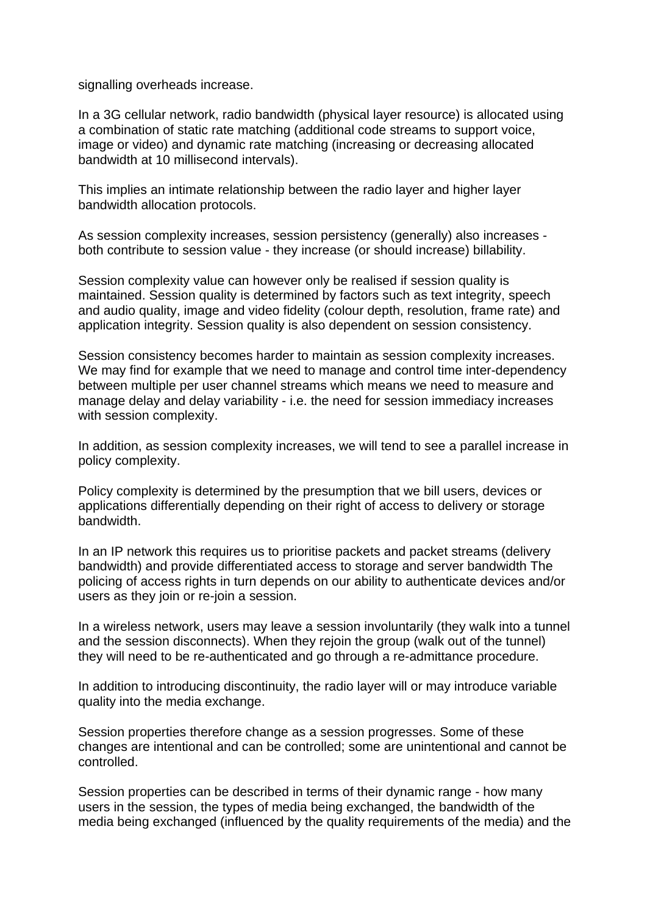signalling overheads increase.

In a 3G cellular network, radio bandwidth (physical layer resource) is allocated using a combination of static rate matching (additional code streams to support voice, image or video) and dynamic rate matching (increasing or decreasing allocated bandwidth at 10 millisecond intervals).

This implies an intimate relationship between the radio layer and higher layer bandwidth allocation protocols.

As session complexity increases, session persistency (generally) also increases both contribute to session value - they increase (or should increase) billability.

Session complexity value can however only be realised if session quality is maintained. Session quality is determined by factors such as text integrity, speech and audio quality, image and video fidelity (colour depth, resolution, frame rate) and application integrity. Session quality is also dependent on session consistency.

Session consistency becomes harder to maintain as session complexity increases. We may find for example that we need to manage and control time inter-dependency between multiple per user channel streams which means we need to measure and manage delay and delay variability - i.e. the need for session immediacy increases with session complexity.

In addition, as session complexity increases, we will tend to see a parallel increase in policy complexity.

Policy complexity is determined by the presumption that we bill users, devices or applications differentially depending on their right of access to delivery or storage bandwidth.

In an IP network this requires us to prioritise packets and packet streams (delivery bandwidth) and provide differentiated access to storage and server bandwidth The policing of access rights in turn depends on our ability to authenticate devices and/or users as they join or re-join a session.

In a wireless network, users may leave a session involuntarily (they walk into a tunnel and the session disconnects). When they rejoin the group (walk out of the tunnel) they will need to be re-authenticated and go through a re-admittance procedure.

In addition to introducing discontinuity, the radio layer will or may introduce variable quality into the media exchange.

Session properties therefore change as a session progresses. Some of these changes are intentional and can be controlled; some are unintentional and cannot be controlled.

Session properties can be described in terms of their dynamic range - how many users in the session, the types of media being exchanged, the bandwidth of the media being exchanged (influenced by the quality requirements of the media) and the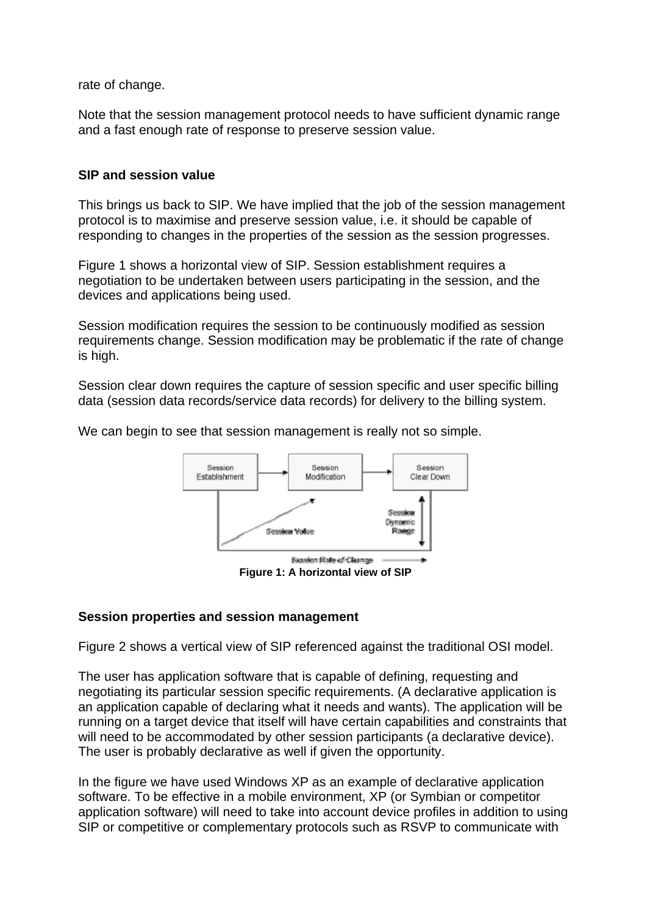rate of change.

Note that the session management protocol needs to have sufficient dynamic range and a fast enough rate of response to preserve session value.

# **SIP and session value**

This brings us back to SIP. We have implied that the job of the session management protocol is to maximise and preserve session value, i.e. it should be capable of responding to changes in the properties of the session as the session progresses.

Figure 1 shows a horizontal view of SIP. Session establishment requires a negotiation to be undertaken between users participating in the session, and the devices and applications being used.

Session modification requires the session to be continuously modified as session requirements change. Session modification may be problematic if the rate of change is high.

Session clear down requires the capture of session specific and user specific billing data (session data records/service data records) for delivery to the billing system.

We can begin to see that session management is really not so simple.



## **Session properties and session management**

Figure 2 shows a vertical view of SIP referenced against the traditional OSI model.

The user has application software that is capable of defining, requesting and negotiating its particular session specific requirements. (A declarative application is an application capable of declaring what it needs and wants). The application will be running on a target device that itself will have certain capabilities and constraints that will need to be accommodated by other session participants (a declarative device). The user is probably declarative as well if given the opportunity.

In the figure we have used Windows XP as an example of declarative application software. To be effective in a mobile environment, XP (or Symbian or competitor application software) will need to take into account device profiles in addition to using SIP or competitive or complementary protocols such as RSVP to communicate with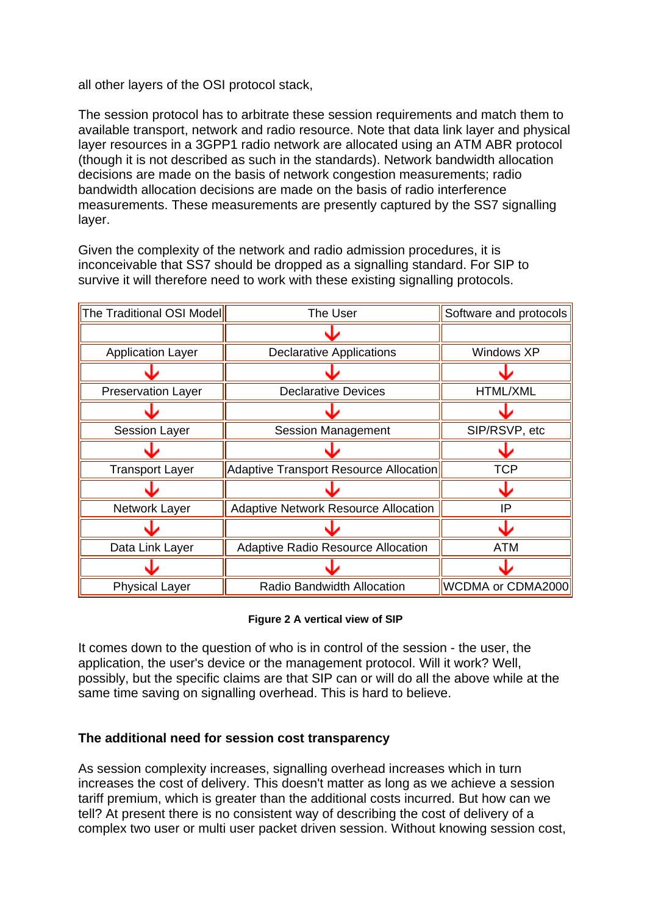all other layers of the OSI protocol stack,

The session protocol has to arbitrate these session requirements and match them to available transport, network and radio resource. Note that data link layer and physical layer resources in a 3GPP1 radio network are allocated using an ATM ABR protocol (though it is not described as such in the standards). Network bandwidth allocation decisions are made on the basis of network congestion measurements; radio bandwidth allocation decisions are made on the basis of radio interference measurements. These measurements are presently captured by the SS7 signalling layer.

Given the complexity of the network and radio admission procedures, it is inconceivable that SS7 should be dropped as a signalling standard. For SIP to survive it will therefore need to work with these existing signalling protocols.

| The Traditional OSI Model | The User                                      | Software and protocols |
|---------------------------|-----------------------------------------------|------------------------|
|                           |                                               |                        |
| <b>Application Layer</b>  | <b>Declarative Applications</b>               | Windows XP             |
|                           |                                               |                        |
| <b>Preservation Layer</b> | <b>Declarative Devices</b>                    | <b>HTML/XML</b>        |
|                           |                                               |                        |
| <b>Session Layer</b>      | <b>Session Management</b>                     | SIP/RSVP, etc          |
|                           |                                               |                        |
| <b>Transport Layer</b>    | <b>Adaptive Transport Resource Allocation</b> | <b>TCP</b>             |
|                           |                                               |                        |
| Network Layer             | <b>Adaptive Network Resource Allocation</b>   | IP                     |
|                           |                                               |                        |
| Data Link Layer           | <b>Adaptive Radio Resource Allocation</b>     | ATM                    |
|                           |                                               |                        |
| <b>Physical Layer</b>     | <b>Radio Bandwidth Allocation</b>             | WCDMA or CDMA2000      |

#### **Figure 2 A vertical view of SIP**

It comes down to the question of who is in control of the session - the user, the application, the user's device or the management protocol. Will it work? Well, possibly, but the specific claims are that SIP can or will do all the above while at the same time saving on signalling overhead. This is hard to believe.

# **The additional need for session cost transparency**

As session complexity increases, signalling overhead increases which in turn increases the cost of delivery. This doesn't matter as long as we achieve a session tariff premium, which is greater than the additional costs incurred. But how can we tell? At present there is no consistent way of describing the cost of delivery of a complex two user or multi user packet driven session. Without knowing session cost,